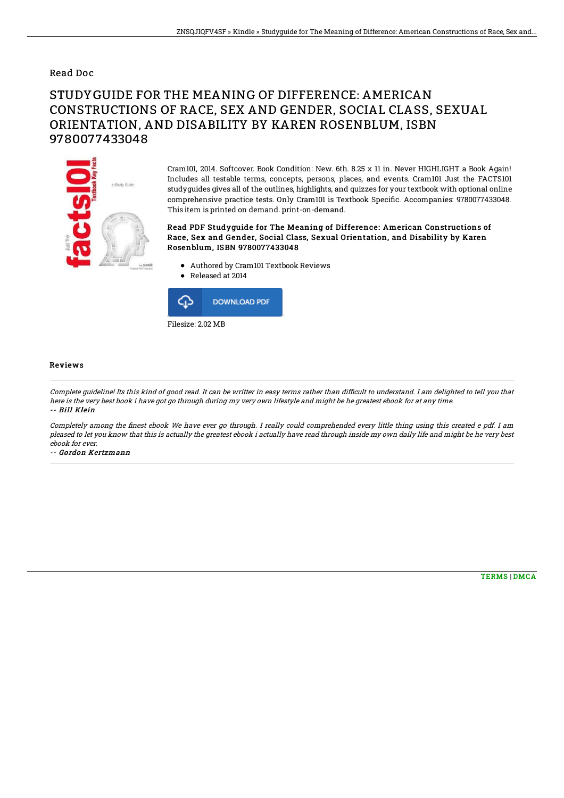### Read Doc

# STUDYGUIDE FOR THE MEANING OF DIFFERENCE: AMERICAN CONSTRUCTIONS OF RACE, SEX AND GENDER, SOCIAL CLASS, SEXUAL ORIENTATION, AND DISABILITY BY KAREN ROSENBLUM, ISBN 9780077433048



Cram101, 2014. Softcover. Book Condition: New. 6th. 8.25 x 11 in. Never HIGHLIGHT a Book Again! Includes all testable terms, concepts, persons, places, and events. Cram101 Just the FACTS101 studyguides gives all of the outlines, highlights, and quizzes for your textbook with optional online comprehensive practice tests. Only Cram101 is Textbook Specific. Accompanies: 9780077433048. This item is printed on demand. print-on-demand.

#### Read PDF Studyguide for The Meaning of Difference: American Constructions of Race, Sex and Gender, Social Class, Sexual Orientation, and Disability by Karen Rosenblum, ISBN 9780077433048

- Authored by Cram101 Textbook Reviews
- Released at 2014



#### Reviews

Complete guideline! Its this kind of good read. It can be writter in easy terms rather than difficult to understand. I am delighted to tell you that here is the very best book i have got go through during my very own lifestyle and might be he greatest ebook for at any time. -- Bill Klein

Completely among the finest ebook We have ever go through. I really could comprehended every little thing using this created e pdf. I am pleased to let you know that this is actually the greatest ebook i actually have read through inside my own daily life and might be he very best ebook for ever.

-- Gordon Kertzmann